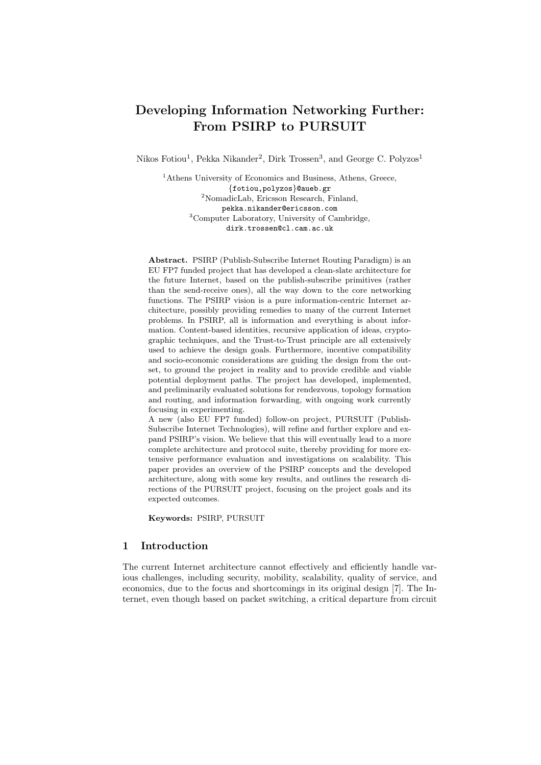# Developing Information Networking Further: From PSIRP to PURSUIT

Nikos Fotiou<sup>1</sup>, Pekka Nikander<sup>2</sup>, Dirk Trossen<sup>3</sup>, and George C. Polyzos<sup>1</sup>

<sup>1</sup>Athens University of Economics and Business, Athens, Greece, {fotiou,polyzos}@aueb.gr <sup>2</sup>NomadicLab, Ericsson Research, Finland, pekka.nikander@ericsson.com <sup>3</sup>Computer Laboratory, University of Cambridge, dirk.trossen@cl.cam.ac.uk

Abstract. PSIRP (Publish-Subscribe Internet Routing Paradigm) is an EU FP7 funded project that has developed a clean-slate architecture for the future Internet, based on the publish-subscribe primitives (rather than the send-receive ones), all the way down to the core networking functions. The PSIRP vision is a pure information-centric Internet architecture, possibly providing remedies to many of the current Internet problems. In PSIRP, all is information and everything is about information. Content-based identities, recursive application of ideas, cryptographic techniques, and the Trust-to-Trust principle are all extensively used to achieve the design goals. Furthermore, incentive compatibility and socio-economic considerations are guiding the design from the outset, to ground the project in reality and to provide credible and viable potential deployment paths. The project has developed, implemented, and preliminarily evaluated solutions for rendezvous, topology formation and routing, and information forwarding, with ongoing work currently focusing in experimenting.

A new (also EU FP7 funded) follow-on project, PURSUIT (Publish-Subscribe Internet Technologies), will refine and further explore and expand PSIRP's vision. We believe that this will eventually lead to a more complete architecture and protocol suite, thereby providing for more extensive performance evaluation and investigations on scalability. This paper provides an overview of the PSIRP concepts and the developed architecture, along with some key results, and outlines the research directions of the PURSUIT project, focusing on the project goals and its expected outcomes.

Keywords: PSIRP, PURSUIT

## 1 Introduction

The current Internet architecture cannot effectively and efficiently handle various challenges, including security, mobility, scalability, quality of service, and economics, due to the focus and shortcomings in its original design [7]. The Internet, even though based on packet switching, a critical departure from circuit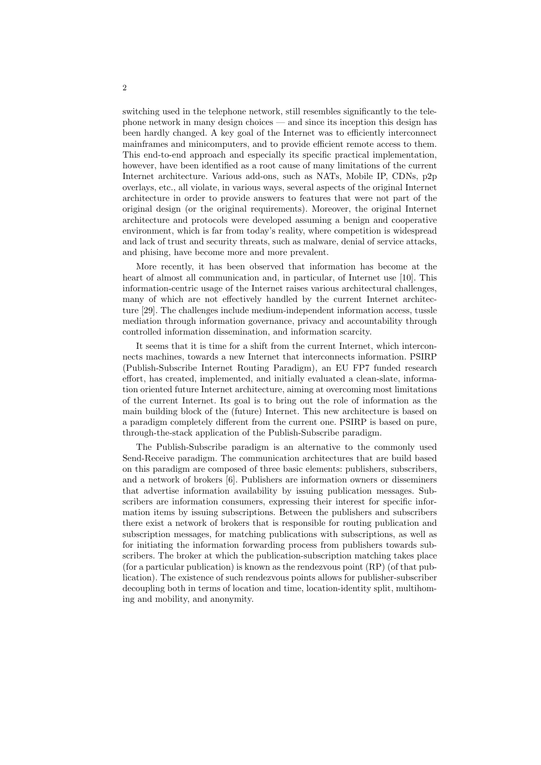switching used in the telephone network, still resembles significantly to the telephone network in many design choices — and since its inception this design has been hardly changed. A key goal of the Internet was to efficiently interconnect mainframes and minicomputers, and to provide efficient remote access to them. This end-to-end approach and especially its specific practical implementation, however, have been identified as a root cause of many limitations of the current Internet architecture. Various add-ons, such as NATs, Mobile IP, CDNs, p2p overlays, etc., all violate, in various ways, several aspects of the original Internet architecture in order to provide answers to features that were not part of the original design (or the original requirements). Moreover, the original Internet architecture and protocols were developed assuming a benign and cooperative environment, which is far from today's reality, where competition is widespread and lack of trust and security threats, such as malware, denial of service attacks, and phising, have become more and more prevalent.

More recently, it has been observed that information has become at the heart of almost all communication and, in particular, of Internet use [10]. This information-centric usage of the Internet raises various architectural challenges, many of which are not effectively handled by the current Internet architecture [29]. The challenges include medium-independent information access, tussle mediation through information governance, privacy and accountability through controlled information dissemination, and information scarcity.

It seems that it is time for a shift from the current Internet, which interconnects machines, towards a new Internet that interconnects information. PSIRP (Publish-Subscribe Internet Routing Paradigm), an EU FP7 funded research effort, has created, implemented, and initially evaluated a clean-slate, information oriented future Internet architecture, aiming at overcoming most limitations of the current Internet. Its goal is to bring out the role of information as the main building block of the (future) Internet. This new architecture is based on a paradigm completely different from the current one. PSIRP is based on pure, through-the-stack application of the Publish-Subscribe paradigm.

The Publish-Subscribe paradigm is an alternative to the commonly used Send-Receive paradigm. The communication architectures that are build based on this paradigm are composed of three basic elements: publishers, subscribers, and a network of brokers [6]. Publishers are information owners or disseminers that advertise information availability by issuing publication messages. Subscribers are information consumers, expressing their interest for specific information items by issuing subscriptions. Between the publishers and subscribers there exist a network of brokers that is responsible for routing publication and subscription messages, for matching publications with subscriptions, as well as for initiating the information forwarding process from publishers towards subscribers. The broker at which the publication-subscription matching takes place (for a particular publication) is known as the rendezvous point (RP) (of that publication). The existence of such rendezvous points allows for publisher-subscriber decoupling both in terms of location and time, location-identity split, multihoming and mobility, and anonymity.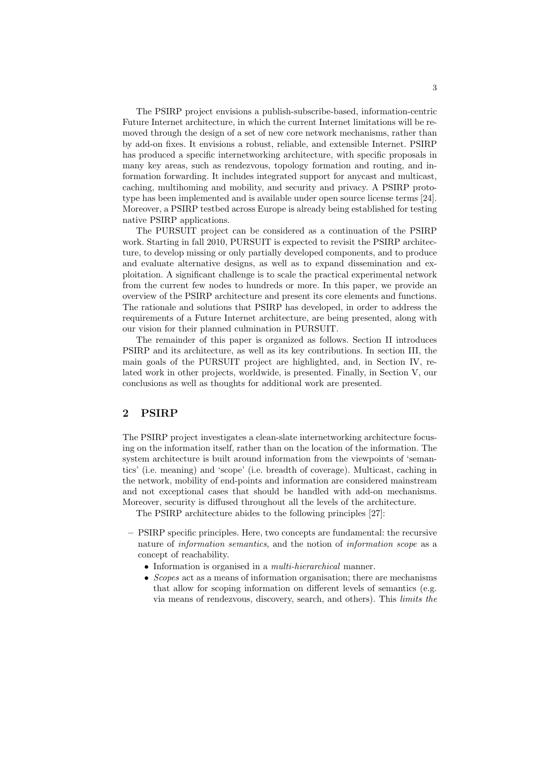The PSIRP project envisions a publish-subscribe-based, information-centric Future Internet architecture, in which the current Internet limitations will be removed through the design of a set of new core network mechanisms, rather than by add-on fixes. It envisions a robust, reliable, and extensible Internet. PSIRP has produced a specific internetworking architecture, with specific proposals in many key areas, such as rendezvous, topology formation and routing, and information forwarding. It includes integrated support for anycast and multicast, caching, multihoming and mobility, and security and privacy. A PSIRP prototype has been implemented and is available under open source license terms [24]. Moreover, a PSIRP testbed across Europe is already being established for testing native PSIRP applications.

The PURSUIT project can be considered as a continuation of the PSIRP work. Starting in fall 2010, PURSUIT is expected to revisit the PSIRP architecture, to develop missing or only partially developed components, and to produce and evaluate alternative designs, as well as to expand dissemination and exploitation. A significant challenge is to scale the practical experimental network from the current few nodes to hundreds or more. In this paper, we provide an overview of the PSIRP architecture and present its core elements and functions. The rationale and solutions that PSIRP has developed, in order to address the requirements of a Future Internet architecture, are being presented, along with our vision for their planned culmination in PURSUIT.

The remainder of this paper is organized as follows. Section II introduces PSIRP and its architecture, as well as its key contributions. In section III, the main goals of the PURSUIT project are highlighted, and, in Section IV, related work in other projects, worldwide, is presented. Finally, in Section V, our conclusions as well as thoughts for additional work are presented.

# 2 PSIRP

The PSIRP project investigates a clean-slate internetworking architecture focusing on the information itself, rather than on the location of the information. The system architecture is built around information from the viewpoints of 'semantics' (i.e. meaning) and 'scope' (i.e. breadth of coverage). Multicast, caching in the network, mobility of end-points and information are considered mainstream and not exceptional cases that should be handled with add-on mechanisms. Moreover, security is diffused throughout all the levels of the architecture.

The PSIRP architecture abides to the following principles [27]:

- PSIRP specific principles. Here, two concepts are fundamental: the recursive nature of information semantics, and the notion of information scope as a concept of reachability.
	- Information is organised in a *multi-hierarchical* manner.
	- Scopes act as a means of information organisation; there are mechanisms that allow for scoping information on different levels of semantics (e.g. via means of rendezvous, discovery, search, and others). This limits the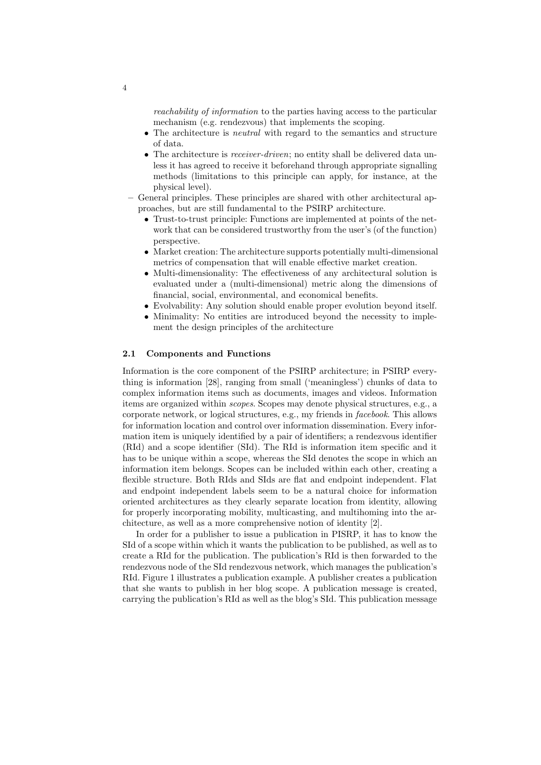reachability of information to the parties having access to the particular mechanism (e.g. rendezvous) that implements the scoping.

- The architecture is *neutral* with regard to the semantics and structure of data.
- The architecture is *receiver-driven*; no entity shall be delivered data unless it has agreed to receive it beforehand through appropriate signalling methods (limitations to this principle can apply, for instance, at the physical level).
- General principles. These principles are shared with other architectural approaches, but are still fundamental to the PSIRP architecture.
	- Trust-to-trust principle: Functions are implemented at points of the network that can be considered trustworthy from the user's (of the function) perspective.
	- Market creation: The architecture supports potentially multi-dimensional metrics of compensation that will enable effective market creation.
	- Multi-dimensionality: The effectiveness of any architectural solution is evaluated under a (multi-dimensional) metric along the dimensions of financial, social, environmental, and economical benefits.
	- Evolvability: Any solution should enable proper evolution beyond itself.
	- Minimality: No entities are introduced beyond the necessity to implement the design principles of the architecture

#### 2.1 Components and Functions

Information is the core component of the PSIRP architecture; in PSIRP everything is information [28], ranging from small ('meaningless') chunks of data to complex information items such as documents, images and videos. Information items are organized within scopes. Scopes may denote physical structures, e.g., a corporate network, or logical structures, e.g., my friends in facebook. This allows for information location and control over information dissemination. Every information item is uniquely identified by a pair of identifiers; a rendezvous identifier (RId) and a scope identifier (SId). The RId is information item specific and it has to be unique within a scope, whereas the SId denotes the scope in which an information item belongs. Scopes can be included within each other, creating a flexible structure. Both RIds and SIds are flat and endpoint independent. Flat and endpoint independent labels seem to be a natural choice for information oriented architectures as they clearly separate location from identity, allowing for properly incorporating mobility, multicasting, and multihoming into the architecture, as well as a more comprehensive notion of identity [2].

In order for a publisher to issue a publication in PISRP, it has to know the SId of a scope within which it wants the publication to be published, as well as to create a RId for the publication. The publication's RId is then forwarded to the rendezvous node of the SId rendezvous network, which manages the publication's RId. Figure 1 illustrates a publication example. A publisher creates a publication that she wants to publish in her blog scope. A publication message is created, carrying the publication's RId as well as the blog's SId. This publication message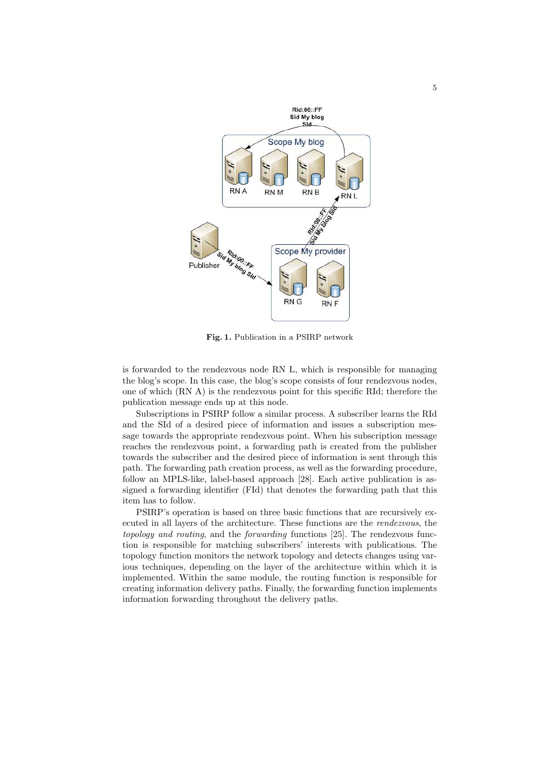

Fig. 1. Publication in a PSIRP network

is forwarded to the rendezvous node RN L, which is responsible for managing the blog's scope. In this case, the blog's scope consists of four rendezvous nodes, one of which (RN A) is the rendezvous point for this specific RId; therefore the publication message ends up at this node.

Subscriptions in PSIRP follow a similar process. A subscriber learns the RId and the SId of a desired piece of information and issues a subscription message towards the appropriate rendezvous point. When his subscription message reaches the rendezvous point, a forwarding path is created from the publisher towards the subscriber and the desired piece of information is sent through this path. The forwarding path creation process, as well as the forwarding procedure, follow an MPLS-like, label-based approach [28]. Each active publication is assigned a forwarding identifier (FId) that denotes the forwarding path that this item has to follow.

PSIRP's operation is based on three basic functions that are recursively executed in all layers of the architecture. These functions are the rendezvous, the topology and routing, and the forwarding functions [25]. The rendezvous function is responsible for matching subscribers' interests with publications. The topology function monitors the network topology and detects changes using various techniques, depending on the layer of the architecture within which it is implemented. Within the same module, the routing function is responsible for creating information delivery paths. Finally, the forwarding function implements information forwarding throughout the delivery paths.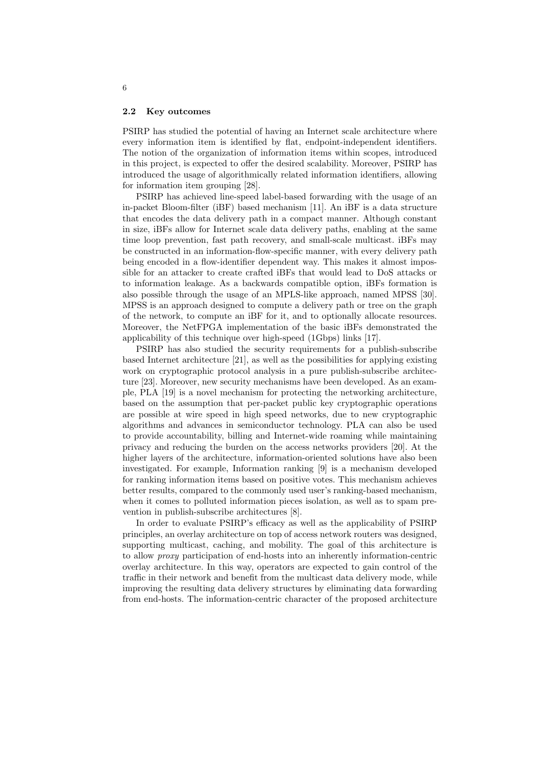#### 2.2 Key outcomes

PSIRP has studied the potential of having an Internet scale architecture where every information item is identified by flat, endpoint-independent identifiers. The notion of the organization of information items within scopes, introduced in this project, is expected to offer the desired scalability. Moreover, PSIRP has introduced the usage of algorithmically related information identifiers, allowing for information item grouping [28].

PSIRP has achieved line-speed label-based forwarding with the usage of an in-packet Bloom-filter (iBF) based mechanism [11]. An iBF is a data structure that encodes the data delivery path in a compact manner. Although constant in size, iBFs allow for Internet scale data delivery paths, enabling at the same time loop prevention, fast path recovery, and small-scale multicast. iBFs may be constructed in an information-flow-specific manner, with every delivery path being encoded in a flow-identifier dependent way. This makes it almost impossible for an attacker to create crafted iBFs that would lead to DoS attacks or to information leakage. As a backwards compatible option, iBFs formation is also possible through the usage of an MPLS-like approach, named MPSS [30]. MPSS is an approach designed to compute a delivery path or tree on the graph of the network, to compute an iBF for it, and to optionally allocate resources. Moreover, the NetFPGA implementation of the basic iBFs demonstrated the applicability of this technique over high-speed (1Gbps) links [17].

PSIRP has also studied the security requirements for a publish-subscribe based Internet architecture [21], as well as the possibilities for applying existing work on cryptographic protocol analysis in a pure publish-subscribe architecture [23]. Moreover, new security mechanisms have been developed. As an example, PLA [19] is a novel mechanism for protecting the networking architecture, based on the assumption that per-packet public key cryptographic operations are possible at wire speed in high speed networks, due to new cryptographic algorithms and advances in semiconductor technology. PLA can also be used to provide accountability, billing and Internet-wide roaming while maintaining privacy and reducing the burden on the access networks providers [20]. At the higher layers of the architecture, information-oriented solutions have also been investigated. For example, Information ranking [9] is a mechanism developed for ranking information items based on positive votes. This mechanism achieves better results, compared to the commonly used user's ranking-based mechanism, when it comes to polluted information pieces isolation, as well as to spam prevention in publish-subscribe architectures [8].

In order to evaluate PSIRP's efficacy as well as the applicability of PSIRP principles, an overlay architecture on top of access network routers was designed, supporting multicast, caching, and mobility. The goal of this architecture is to allow proxy participation of end-hosts into an inherently information-centric overlay architecture. In this way, operators are expected to gain control of the traffic in their network and benefit from the multicast data delivery mode, while improving the resulting data delivery structures by eliminating data forwarding from end-hosts. The information-centric character of the proposed architecture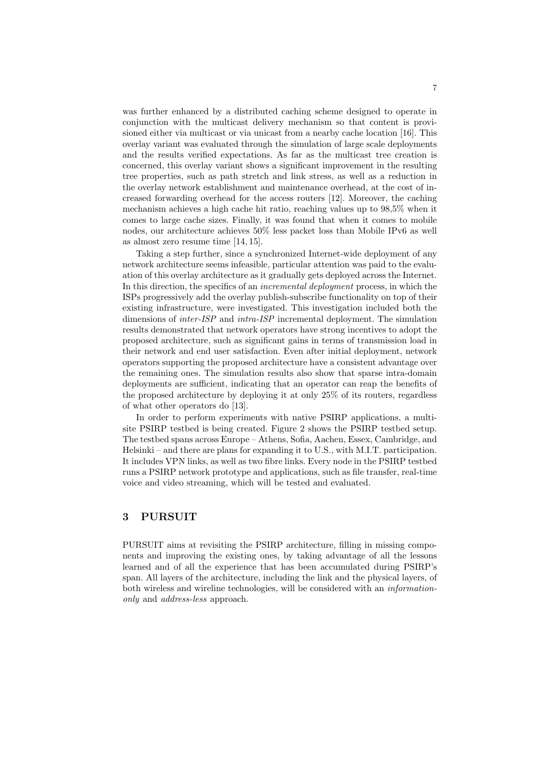was further enhanced by a distributed caching scheme designed to operate in conjunction with the multicast delivery mechanism so that content is provisioned either via multicast or via unicast from a nearby cache location [16]. This overlay variant was evaluated through the simulation of large scale deployments and the results verified expectations. As far as the multicast tree creation is concerned, this overlay variant shows a significant improvement in the resulting tree properties, such as path stretch and link stress, as well as a reduction in the overlay network establishment and maintenance overhead, at the cost of increased forwarding overhead for the access routers [12]. Moreover, the caching mechanism achieves a high cache hit ratio, reaching values up to 98,5% when it comes to large cache sizes. Finally, it was found that when it comes to mobile nodes, our architecture achieves 50% less packet loss than Mobile IPv6 as well as almost zero resume time [14, 15].

Taking a step further, since a synchronized Internet-wide deployment of any network architecture seems infeasible, particular attention was paid to the evaluation of this overlay architecture as it gradually gets deployed across the Internet. In this direction, the specifics of an incremental deployment process, in which the ISPs progressively add the overlay publish-subscribe functionality on top of their existing infrastructure, were investigated. This investigation included both the dimensions of inter-ISP and intra-ISP incremental deployment. The simulation results demonstrated that network operators have strong incentives to adopt the proposed architecture, such as significant gains in terms of transmission load in their network and end user satisfaction. Even after initial deployment, network operators supporting the proposed architecture have a consistent advantage over the remaining ones. The simulation results also show that sparse intra-domain deployments are sufficient, indicating that an operator can reap the benefits of the proposed architecture by deploying it at only 25% of its routers, regardless of what other operators do [13].

In order to perform experiments with native PSIRP applications, a multisite PSIRP testbed is being created. Figure 2 shows the PSIRP testbed setup. The testbed spans across Europe – Athens, Sofia, Aachen, Essex, Cambridge, and Helsinki – and there are plans for expanding it to U.S., with M.I.T. participation. It includes VPN links, as well as two fibre links. Every node in the PSIRP testbed runs a PSIRP network prototype and applications, such as file transfer, real-time voice and video streaming, which will be tested and evaluated.

## 3 PURSUIT

PURSUIT aims at revisiting the PSIRP architecture, filling in missing components and improving the existing ones, by taking advantage of all the lessons learned and of all the experience that has been accumulated during PSIRP's span. All layers of the architecture, including the link and the physical layers, of both wireless and wireline technologies, will be considered with an informationonly and address-less approach.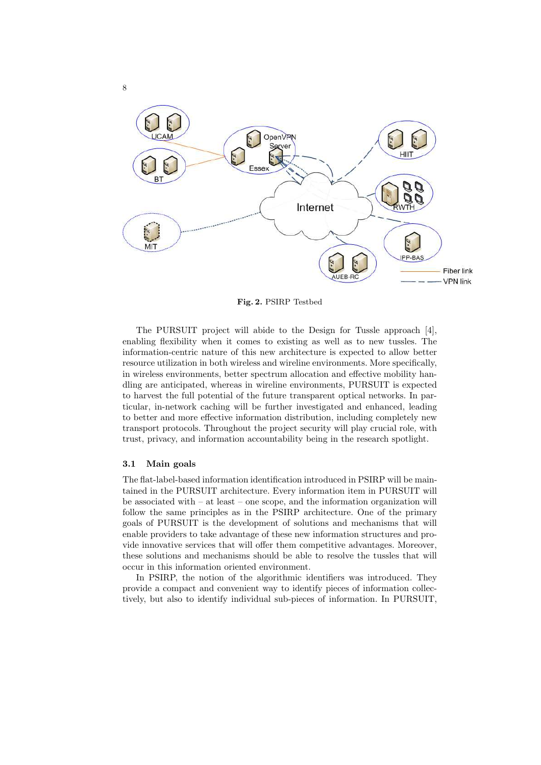

Fig. 2. PSIRP Testbed

The PURSUIT project will abide to the Design for Tussle approach [4], enabling flexibility when it comes to existing as well as to new tussles. The information-centric nature of this new architecture is expected to allow better resource utilization in both wireless and wireline environments. More specifically, in wireless environments, better spectrum allocation and effective mobility handling are anticipated, whereas in wireline environments, PURSUIT is expected to harvest the full potential of the future transparent optical networks. In particular, in-network caching will be further investigated and enhanced, leading to better and more effective information distribution, including completely new transport protocols. Throughout the project security will play crucial role, with trust, privacy, and information accountability being in the research spotlight.

#### 3.1 Main goals

8

The flat-label-based information identification introduced in PSIRP will be maintained in the PURSUIT architecture. Every information item in PURSUIT will be associated with – at least – one scope, and the information organization will follow the same principles as in the PSIRP architecture. One of the primary goals of PURSUIT is the development of solutions and mechanisms that will enable providers to take advantage of these new information structures and provide innovative services that will offer them competitive advantages. Moreover, these solutions and mechanisms should be able to resolve the tussles that will occur in this information oriented environment.

In PSIRP, the notion of the algorithmic identifiers was introduced. They provide a compact and convenient way to identify pieces of information collectively, but also to identify individual sub-pieces of information. In PURSUIT,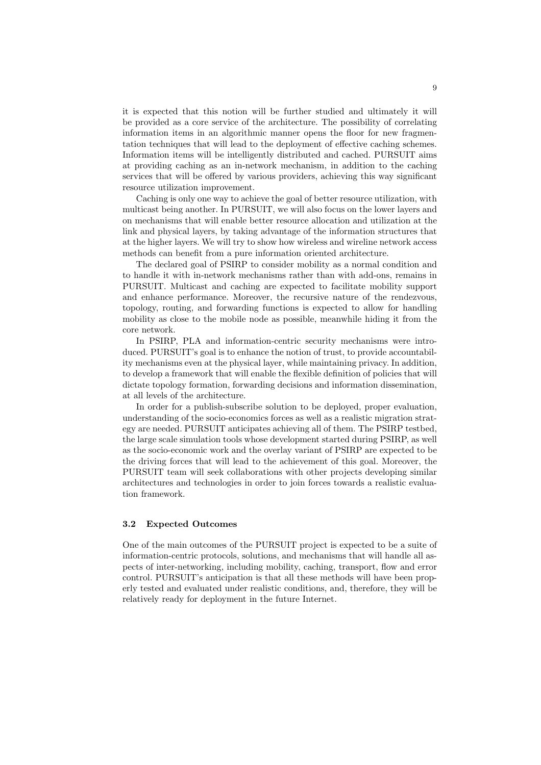it is expected that this notion will be further studied and ultimately it will be provided as a core service of the architecture. The possibility of correlating information items in an algorithmic manner opens the floor for new fragmentation techniques that will lead to the deployment of effective caching schemes. Information items will be intelligently distributed and cached. PURSUIT aims at providing caching as an in-network mechanism, in addition to the caching services that will be offered by various providers, achieving this way significant resource utilization improvement.

Caching is only one way to achieve the goal of better resource utilization, with multicast being another. In PURSUIT, we will also focus on the lower layers and on mechanisms that will enable better resource allocation and utilization at the link and physical layers, by taking advantage of the information structures that at the higher layers. We will try to show how wireless and wireline network access methods can benefit from a pure information oriented architecture.

The declared goal of PSIRP to consider mobility as a normal condition and to handle it with in-network mechanisms rather than with add-ons, remains in PURSUIT. Multicast and caching are expected to facilitate mobility support and enhance performance. Moreover, the recursive nature of the rendezvous, topology, routing, and forwarding functions is expected to allow for handling mobility as close to the mobile node as possible, meanwhile hiding it from the core network.

In PSIRP, PLA and information-centric security mechanisms were introduced. PURSUIT's goal is to enhance the notion of trust, to provide accountability mechanisms even at the physical layer, while maintaining privacy. In addition, to develop a framework that will enable the flexible definition of policies that will dictate topology formation, forwarding decisions and information dissemination, at all levels of the architecture.

In order for a publish-subscribe solution to be deployed, proper evaluation, understanding of the socio-economics forces as well as a realistic migration strategy are needed. PURSUIT anticipates achieving all of them. The PSIRP testbed, the large scale simulation tools whose development started during PSIRP, as well as the socio-economic work and the overlay variant of PSIRP are expected to be the driving forces that will lead to the achievement of this goal. Moreover, the PURSUIT team will seek collaborations with other projects developing similar architectures and technologies in order to join forces towards a realistic evaluation framework.

## 3.2 Expected Outcomes

One of the main outcomes of the PURSUIT project is expected to be a suite of information-centric protocols, solutions, and mechanisms that will handle all aspects of inter-networking, including mobility, caching, transport, flow and error control. PURSUIT's anticipation is that all these methods will have been properly tested and evaluated under realistic conditions, and, therefore, they will be relatively ready for deployment in the future Internet.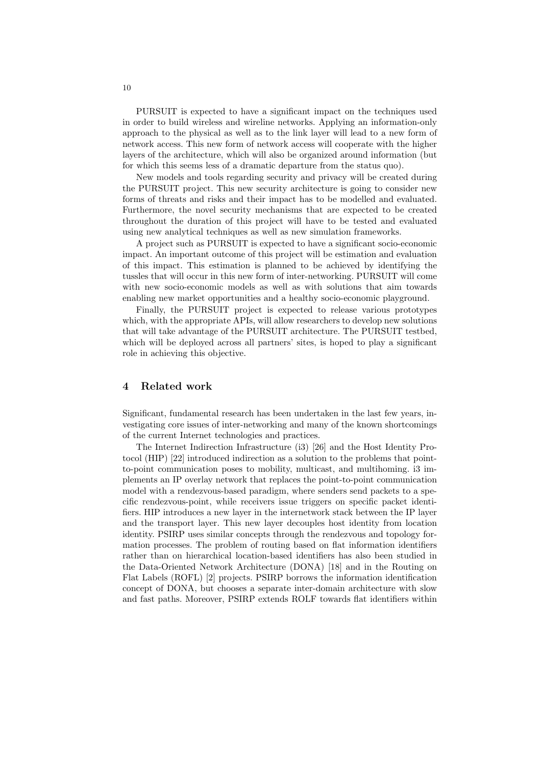PURSUIT is expected to have a significant impact on the techniques used in order to build wireless and wireline networks. Applying an information-only approach to the physical as well as to the link layer will lead to a new form of network access. This new form of network access will cooperate with the higher layers of the architecture, which will also be organized around information (but for which this seems less of a dramatic departure from the status quo).

New models and tools regarding security and privacy will be created during the PURSUIT project. This new security architecture is going to consider new forms of threats and risks and their impact has to be modelled and evaluated. Furthermore, the novel security mechanisms that are expected to be created throughout the duration of this project will have to be tested and evaluated using new analytical techniques as well as new simulation frameworks.

A project such as PURSUIT is expected to have a significant socio-economic impact. An important outcome of this project will be estimation and evaluation of this impact. This estimation is planned to be achieved by identifying the tussles that will occur in this new form of inter-networking. PURSUIT will come with new socio-economic models as well as with solutions that aim towards enabling new market opportunities and a healthy socio-economic playground.

Finally, the PURSUIT project is expected to release various prototypes which, with the appropriate APIs, will allow researchers to develop new solutions that will take advantage of the PURSUIT architecture. The PURSUIT testbed, which will be deployed across all partners' sites, is hoped to play a significant role in achieving this objective.

## 4 Related work

Significant, fundamental research has been undertaken in the last few years, investigating core issues of inter-networking and many of the known shortcomings of the current Internet technologies and practices.

The Internet Indirection Infrastructure (i3) [26] and the Host Identity Protocol (HIP) [22] introduced indirection as a solution to the problems that pointto-point communication poses to mobility, multicast, and multihoming. i3 implements an IP overlay network that replaces the point-to-point communication model with a rendezvous-based paradigm, where senders send packets to a specific rendezvous-point, while receivers issue triggers on specific packet identifiers. HIP introduces a new layer in the internetwork stack between the IP layer and the transport layer. This new layer decouples host identity from location identity. PSIRP uses similar concepts through the rendezvous and topology formation processes. The problem of routing based on flat information identifiers rather than on hierarchical location-based identifiers has also been studied in the Data-Oriented Network Architecture (DONA) [18] and in the Routing on Flat Labels (ROFL) [2] projects. PSIRP borrows the information identification concept of DONA, but chooses a separate inter-domain architecture with slow and fast paths. Moreover, PSIRP extends ROLF towards flat identifiers within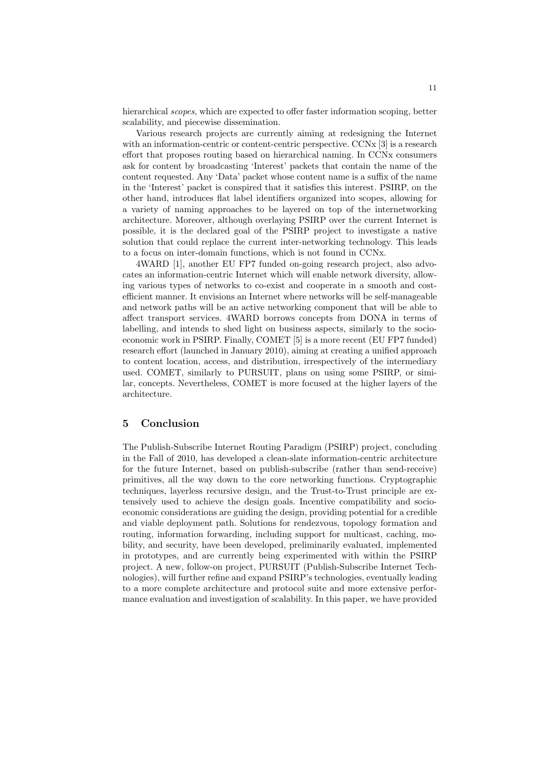hierarchical *scopes*, which are expected to offer faster information scoping, better scalability, and piecewise dissemination.

Various research projects are currently aiming at redesigning the Internet with an information-centric or content-centric perspective. CCNx [3] is a research effort that proposes routing based on hierarchical naming. In CCNx consumers ask for content by broadcasting 'Interest' packets that contain the name of the content requested. Any 'Data' packet whose content name is a suffix of the name in the 'Interest' packet is conspired that it satisfies this interest. PSIRP, on the other hand, introduces flat label identifiers organized into scopes, allowing for a variety of naming approaches to be layered on top of the internetworking architecture. Moreover, although overlaying PSIRP over the current Internet is possible, it is the declared goal of the PSIRP project to investigate a native solution that could replace the current inter-networking technology. This leads to a focus on inter-domain functions, which is not found in CCNx.

4WARD [1], another EU FP7 funded on-going research project, also advocates an information-centric Internet which will enable network diversity, allowing various types of networks to co-exist and cooperate in a smooth and costefficient manner. It envisions an Internet where networks will be self-manageable and network paths will be an active networking component that will be able to affect transport services. 4WARD borrows concepts from DONA in terms of labelling, and intends to shed light on business aspects, similarly to the socioeconomic work in PSIRP. Finally, COMET [5] is a more recent (EU FP7 funded) research effort (launched in January 2010), aiming at creating a unified approach to content location, access, and distribution, irrespectively of the intermediary used. COMET, similarly to PURSUIT, plans on using some PSIRP, or similar, concepts. Nevertheless, COMET is more focused at the higher layers of the architecture.

# 5 Conclusion

The Publish-Subscribe Internet Routing Paradigm (PSIRP) project, concluding in the Fall of 2010, has developed a clean-slate information-centric architecture for the future Internet, based on publish-subscribe (rather than send-receive) primitives, all the way down to the core networking functions. Cryptographic techniques, layerless recursive design, and the Trust-to-Trust principle are extensively used to achieve the design goals. Incentive compatibility and socioeconomic considerations are guiding the design, providing potential for a credible and viable deployment path. Solutions for rendezvous, topology formation and routing, information forwarding, including support for multicast, caching, mobility, and security, have been developed, preliminarily evaluated, implemented in prototypes, and are currently being experimented with within the PSIRP project. A new, follow-on project, PURSUIT (Publish-Subscribe Internet Technologies), will further refine and expand PSIRP's technologies, eventually leading to a more complete architecture and protocol suite and more extensive performance evaluation and investigation of scalability. In this paper, we have provided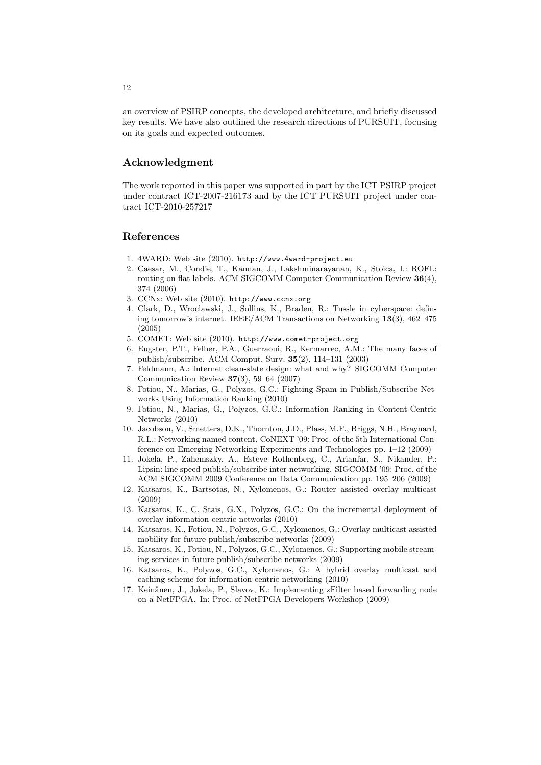an overview of PSIRP concepts, the developed architecture, and briefly discussed key results. We have also outlined the research directions of PURSUIT, focusing on its goals and expected outcomes.

#### Acknowledgment

The work reported in this paper was supported in part by the ICT PSIRP project under contract ICT-2007-216173 and by the ICT PURSUIT project under contract ICT-2010-257217

## References

- 1. 4WARD: Web site (2010). http://www.4ward-project.eu
- 2. Caesar, M., Condie, T., Kannan, J., Lakshminarayanan, K., Stoica, I.: ROFL: routing on flat labels. ACM SIGCOMM Computer Communication Review 36(4), 374 (2006)
- 3. CCNx: Web site (2010). http://www.ccnx.org
- 4. Clark, D., Wroclawski, J., Sollins, K., Braden, R.: Tussle in cyberspace: defining tomorrow's internet. IEEE/ACM Transactions on Networking 13(3), 462–475 (2005)
- 5. COMET: Web site (2010). http://www.comet-project.org
- 6. Eugster, P.T., Felber, P.A., Guerraoui, R., Kermarrec, A.M.: The many faces of publish/subscribe. ACM Comput. Surv. 35(2), 114–131 (2003)
- 7. Feldmann, A.: Internet clean-slate design: what and why? SIGCOMM Computer Communication Review 37(3), 59–64 (2007)
- 8. Fotiou, N., Marias, G., Polyzos, G.C.: Fighting Spam in Publish/Subscribe Networks Using Information Ranking (2010)
- 9. Fotiou, N., Marias, G., Polyzos, G.C.: Information Ranking in Content-Centric Networks (2010)
- 10. Jacobson, V., Smetters, D.K., Thornton, J.D., Plass, M.F., Briggs, N.H., Braynard, R.L.: Networking named content. CoNEXT '09: Proc. of the 5th International Conference on Emerging Networking Experiments and Technologies pp. 1–12 (2009)
- 11. Jokela, P., Zahemszky, A., Esteve Rothenberg, C., Arianfar, S., Nikander, P.: Lipsin: line speed publish/subscribe inter-networking. SIGCOMM '09: Proc. of the ACM SIGCOMM 2009 Conference on Data Communication pp. 195–206 (2009)
- 12. Katsaros, K., Bartsotas, N., Xylomenos, G.: Router assisted overlay multicast (2009)
- 13. Katsaros, K., C. Stais, G.X., Polyzos, G.C.: On the incremental deployment of overlay information centric networks (2010)
- 14. Katsaros, K., Fotiou, N., Polyzos, G.C., Xylomenos, G.: Overlay multicast assisted mobility for future publish/subscribe networks (2009)
- 15. Katsaros, K., Fotiou, N., Polyzos, G.C., Xylomenos, G.: Supporting mobile streaming services in future publish/subscribe networks (2009)
- 16. Katsaros, K., Polyzos, G.C., Xylomenos, G.: A hybrid overlay multicast and caching scheme for information-centric networking (2010)
- 17. Keinänen, J., Jokela, P., Slavov, K.: Implementing zFilter based forwarding node on a NetFPGA. In: Proc. of NetFPGA Developers Workshop (2009)